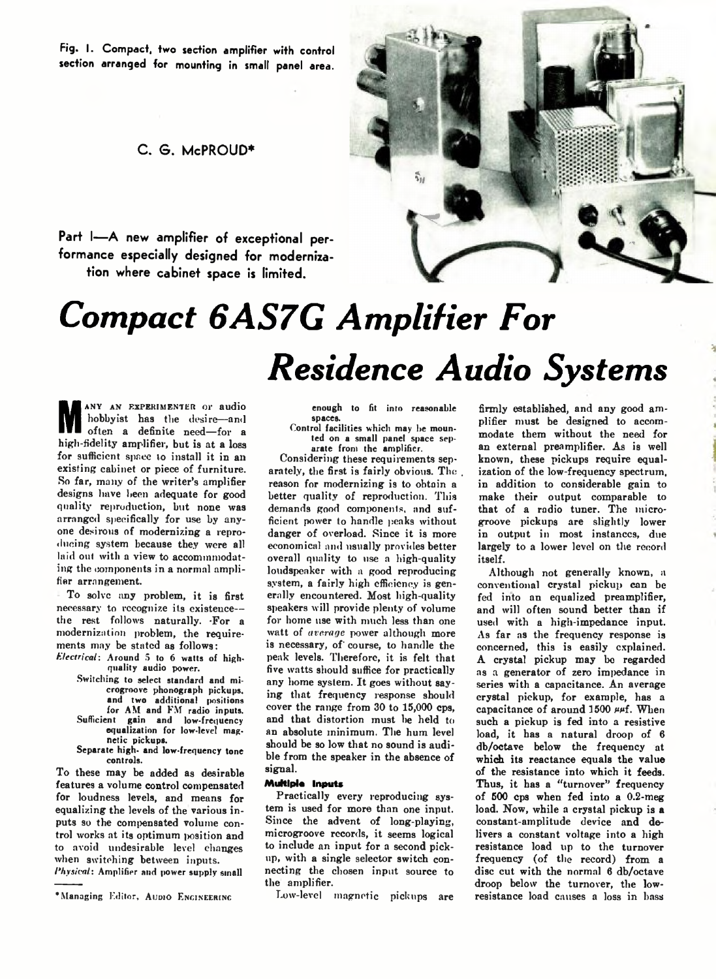**Fig. I. Compact, two section amplifier with control section arranged for mounting in small panel area.**

## **C . S . McPROUD\***

Part I-A new amplifier of exceptional per**formance especially designed for modernization where cabinet space is limited.**



# *Compact 6AS7G Amplifier For Residence Audio Systems*

**M** often a definite need—for a<br>high-fidelity amplifier, but is at a loss ANY AN EXPERIMENTER or audio hobbyist has the desire—and often a definite need—for a for sufficient space to install it in an existing cabinet or piece of furniture. So far, many of the writer's amplifier designs lmve been adequate for good quality reproduction, but none was arranged specifically for use by anyone desirous of modernizing a reproducing system because they were all laid out with a view to accommmodating the components in a normal amplifier arrangement.

To solve any problem, it is first necessary to recognize its existence the rest follows naturally. For a modernization problem, the requirements may be stated as follows:

- *Electrical: Around 5 to 6 watts of high*quality audio power.
	- Switching to select standard and microgroore phonograph pickups, and two additional positions for AM and FM radio inputs. Sufficient gain and low-frequency equalization for low-level magnetic pickups.
	- Separate high- and low-frequency tone controls.

To these may be added as desirable features a volume control compensated for loudness levels, and means for equalizing the levels of the various inputs so the compensated volume control works at its optimum position and to avoid undesirable level changes when switching between inputs. *1'hysical*: Amplifier and power supply small

enough to fit into reasonable spaces.

Control facilities which may be mounted on a small panel space separate from the amplifier.

Considering these requirements separately, the first is fairly obvious. The . reason for modernizing is to obtain a better quality of reproduction. This demands good components, and sufficient power to handle peaks without danger of overload. Since it is more economical and usually provides better overall quality to use a high-quality loudspeaker with a good reproducing system, a fairly high efficiency is generally encountered. Most high-quality speakers will provide plenty of volume for home use with much less than one watt of *average* power although more is necessary, of' course, to handle the peak levels. Therefore, it is felt that five watts should suffice for practically any home system. It goes without saying that frequency response should cover the range from 30 to 15,000 cps, and that distortion must he held to an absolute minimum. The hum level should be so low that no sound is audible from the speaker in the absence of signal.

### **Multiple Inputs**

Practically every reproducing system is used for more than one input. Since the advent of long-playing, microgroove records, it seems logical to include an input for a second pickup, with a single selector switch connecting the chosen input source to the amplifier.

Low-level magnetic pickups are

firmly established, and any good amplifier must be designed to accommodate them without the need for an external preamplifier. As is well known, these pickups require equalization of the low-frequency spectrum, in addition to considerable gain to make their output comparable to that of a radio tuner. The microgroove pickups are slightly lower in output in most instances, due largely to a lower level on the record itself.

Although not generally known, a conventional crystal pickup can be fed into an equalized preamplifier, and will often sound better than if used with a high-impedance input. As far as the frequency response is concerned, this is easily explained. A crystal pickup may bo regarded as a generator of zero impedance in series with a capacitance. An average crystal pickup, for example, has a capacitance of around 1500  $\mu$ f. When such a pickup is fed into a resistive load, it has a natural droop of 6 db/octave below the frequency at which its reactance equals the value of the resistance into which it feeds. Thus, it has a "turnover" frequency of 500 cps when fed into a 0.2-meg load. Now, while a crystal pickup is **a** constant-amplitude device and delivers a constant voltage into a high resistance load lip to the turnover frequency (of the record) from a disc cut with the normal 6 db/octave droop below the turnover, the lowresistance load causes a loss in bass

<sup>\*</sup>Managing Editor, AUDIO ENGINEERING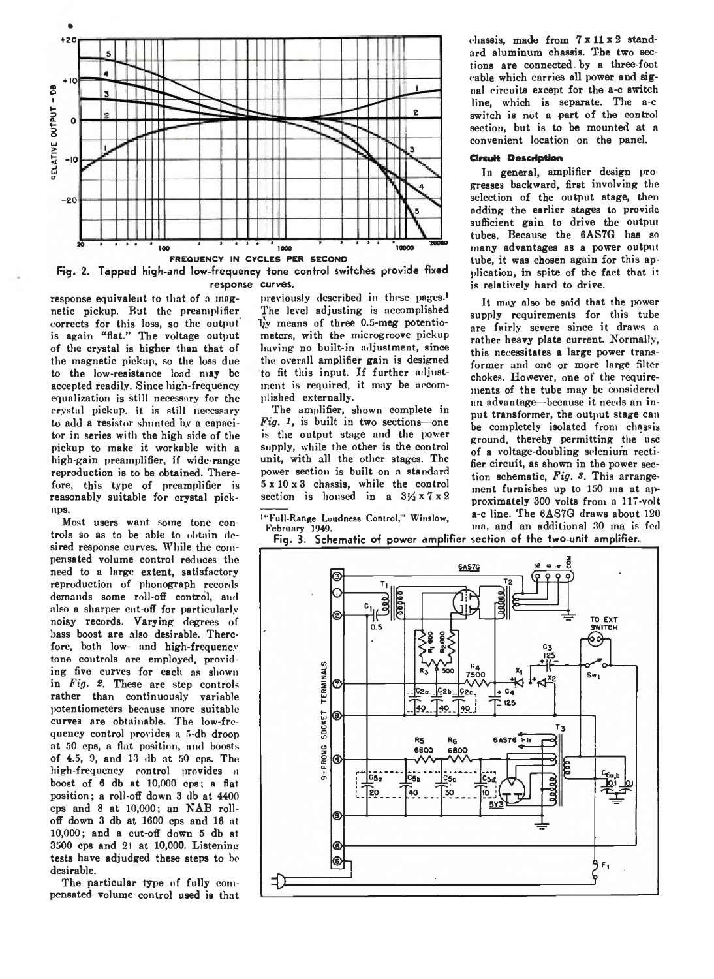



response equivalent to that of a magnetic pickup. But the preamplifier corrects for this loss, so the output is again "flat." The voltage output of the crystal is higher than that of the magnetic pickup, so the loss due to the low-resistance load may be accepted readily. Since high-frequency equalization is still necessary for the crystal pickup, it is still necessary to add a resistor shunted by a capacitor in series with the high side of the pickup to make it workable with a high-gain preamplifier, if wide-range reproduction is to be obtained. Therefore, this type of preamplifier is reasonably suitable for crystal pickups.

Most users want some tone controls so as to be able to obtain desired response curves. While the compensated volume control reduces the need to a large extent, satisfactory reproduction of phonograph records demands some roll-off control, and also a sharper cut-off for particularly noisy records. Varying degrees of bass boost are also desirable. Therefore, both low- and high-frequency tone controls are employed, providing five curves for each as shown in *Fig. 8.* These are step controls rather than continuously variable potentiometers because more suitable curves are obtainable. The low-frequency control provides a 5-db droop at 50 cps, a flat position, and boosts of 4.5, 9, and 13 db at 50 cps. The high-frequency control provides a boost of 6 db at 10,000 cps; a flat position; a roll-off down 3 db at 4400 cps and 8 at 10,000; an NAB rolloff down 3 db at 1600 cps and 16 at 10,000; and a cut-off down 5 db at 3500 cps and 21 at 10,000. Listening tests have adjudged these steps to be desirable.

The particular type of fully compensated volume control used is that

previously described in these pages.<sup>1</sup> The level adjusting is accomplished 1}y means of three 0.5-meg potentiometers, with the microgroove pickup having no built-in adjustment, since the overall amplifier gain is designed to fit this input. If further adjustment is required, it may be accomplished externally.

The amplifier, shown complete in *Fig. 1,* is built in two sections—one is the output stage and the power supply, while the other is the control unit, with all the other stages. The power section is built on a standard 5 x 10 x 3 chassis, while the control section is housed in a  $3\frac{1}{2} \times 7 \times 2$ 

'" Full-Range Loudness Control,' Winslow, February *'i94Q.*

chassis, made from 7 **x** 11 **x** 2 standard aluminum chassis. The two sections are connected, by a three-foot cable which carries all power and signal circuits except for the a-c switch line, which is separate. The a-c switch is not a part of the control section, but is to be mounted at a convenient location on the panel.

#### **Circuit Description**

In general, amplifier design progresses backward, first involving the selection of the output stage, then adding the earlier stages to provide sufficient gain to drive the output tubes. Because the 6AS7G has so many advantages as a power output tube, it was chosen again for this application, in spite of the fact that it is relatively hard to drive.

It may also be said that the power supply requirements for this tube are fairly severe since it draws a rather heavy plate current. Normally, this necessitates a large power transformer and one or more large filter chokes. However, one of the requirements of the tube may be considered an advantage—because it needs an input transformer, the output stage can be completely isolated from chassis ground, thereby permitting the use of a voltage-doubling selenium rectifier circuit, as shown in the power section schematic, *Fig. S.* This arrangement furnishes up to 150 ma at approximately 300 volts from a 117-volt a-c line. The 6AS7G draws about 120 ina, and an additional 30 ma is fed

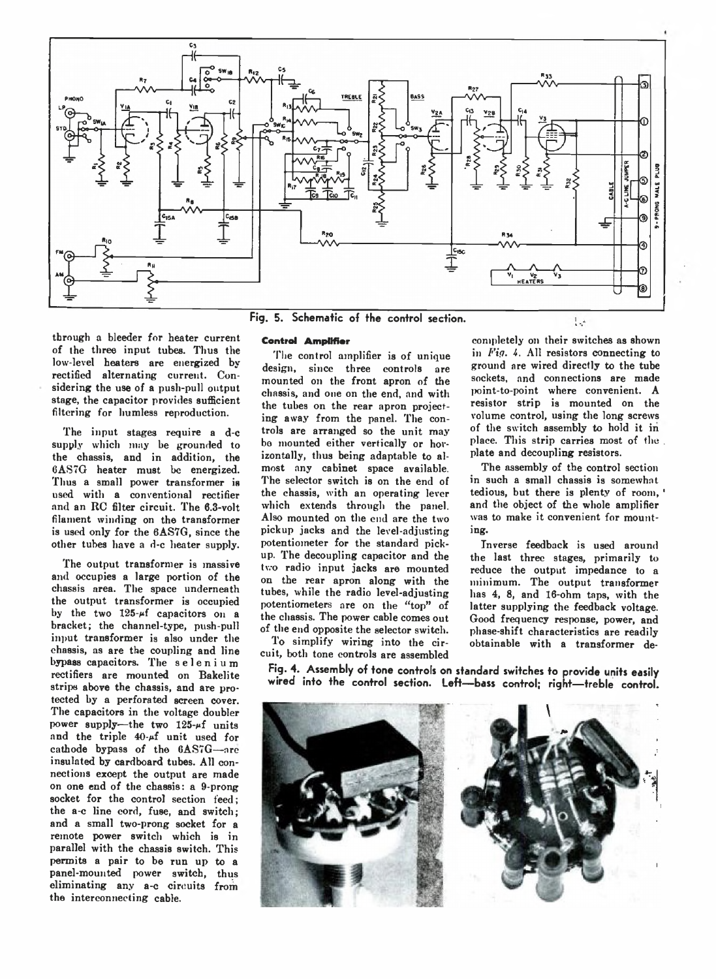

through a bleeder for heater current of the three input tubes. Thus the low-level heaters are energized by rectified alternating current. Considering the use of a push-pull output stage, the capacitor provides sufficient filtering for liumless reproduction.

The input stages require a d-c supply which may be grounded to the chassis, and in addition, the 6AS7G heater must be energized. Thus a small power transformer is used with a conventional rectifier and an RC filter circuit. The 0.3-volt filament winding on the transformer is used only for the 6AS7G, since the other tubes have a d-c heater supply.

The output transformer is massive and occupies a large portion of the chassis area. The space underneath the output transformer is occupied by the two  $125-\mu f$  capacitors on a bracket; the channel-type, push-pull input transformer is also under the chassis, as are the coupling and line bypass capacitors. The selenium rectifiers are mounted on Bakelite strips above the chassis, and are protected by a perforated screen cover. The capacitors in the voltage doubler power supply—the two  $125-f$  units and the triple  $40-f$  unit used for cathode bypass of the 6AS7G—are insulated by cardboard tubes. All connections except the output are made on one end of the chassis: a 9-prong socket for the control section feed; the a-c line cord, fuse, and switch; and a small two-prong socket for a remote power switch which is in parallel with the chassis switch. This permits a pair to be run up to a panel-mounted power switch, thus eliminating any a-c circuits from the interconnecting cable.

#### **Control Amplifier**

The control amplifier is of unique design, since three controls are mounted on the front apron of the chassis, and one on the end, and with the tubes on the rear apron projecting away from the panel. The controls are arranged so the unit may bo mounted either vertically or horizontally, thus being adaptable to almost any cabinet space available. The selector switch is on the end of the chassis, with an operating lever which extends through the panel. Also mounted on the cud are the two pickup jacks and the level-adjusting potentiometer for the standard pickup. The decoupling capacitor and the two radio input jacks are mounted on the rear apron along with the tubes, while the radio level-adjusting potentiometers are on the "top" of the chassis. The power cable comes out of the end opposite the selector switch.

To simplify wiring into the circuit, both tone controls are assembled

completely on their switches as shown in *Fig.* 4. All resistors connecting to ground are wired directly to the tube sockets, and connections are made point-to-point where convenient. A resistor strip is mounted on the volume control, using the long screws of the switch assembly to hold it in place. This strip carries most of the plate and decoupling resistors.

The assembly of the control section in such a small chassis is somewhat tedious, but there is plenty of room, and the object of the whole amplifier was to make it convenient for mounting.

Inverse feedback is used around the last three stages, primarily to reduce the output impedance to a minimum. The output transformer has 4, 8, and 16-ohm taps, with the latter supplying the feedback voltage. Good frequency response, power, and phase-shift characteristics are readily obtainable with a transformer de-

**Fig. 4. Assembly of tone controls on standard switches to provide units easily wired into the control section. Left— bass control; right— treble control.**